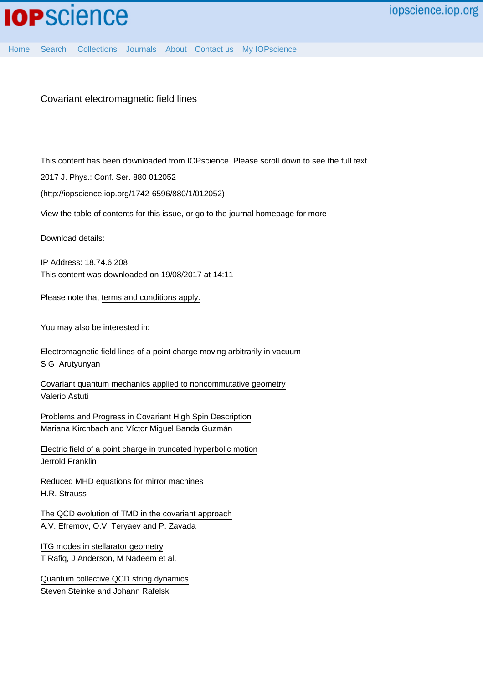# Covariant electromagnetic field lines

This content has been downloaded from IOPscience. Please scroll down to see the full text.

2017 J. Phys.: Conf. Ser. 880 012052

(http://iopscience.iop.org/1742-6596/880/1/012052)

View [the table of contents for this issue](http://iopscience.iop.org/1742-6596/880/1), or go to the [journal homepage](http://iopscience.iop.org/1742-6596) for more

Download details:

IP Address: 18.74.6.208 This content was downloaded on 19/08/2017 at 14:11

Please note that [terms and conditions apply.](http://iopscience.iop.org/page/terms)

You may also be interested in:

[Electromagnetic field lines of a point charge moving arbitrarily in vacuum](http://iopscience.iop.org/article/10.1070/PU1986v029n11ABEH003539) S G Arutyunyan

[Covariant quantum mechanics applied to noncommutative geometry](http://iopscience.iop.org/article/10.1088/1742-6596/634/1/012007) Valerio Astuti

[Problems and Progress in Covariant High Spin Description](http://iopscience.iop.org/article/10.1088/1742-6596/761/1/012079) Mariana Kirchbach and Víctor Miguel Banda Guzmán

[Electric field of a point charge in truncated hyperbolic motion](http://iopscience.iop.org/article/10.1088/0143-0807/36/4/045015) Jerrold Franklin

[Reduced MHD equations for mirror machines](http://iopscience.iop.org/article/10.1088/0029-5515/22/7/003) H.R. Strauss

[The QCD evolution of TMD in the covariant approach](http://iopscience.iop.org/article/10.1088/1742-6596/678/1/012001) A.V. Efremov, O.V. Teryaev and P. Zavada

[ITG modes in stellarator geometry](http://iopscience.iop.org/article/10.1088/0741-3335/43/10/307) T Rafiq, J Anderson, M Nadeem et al.

[Quantum collective QCD string dynamics](http://iopscience.iop.org/article/10.1088/0954-3899/32/12/S55) Steven Steinke and Johann Rafelski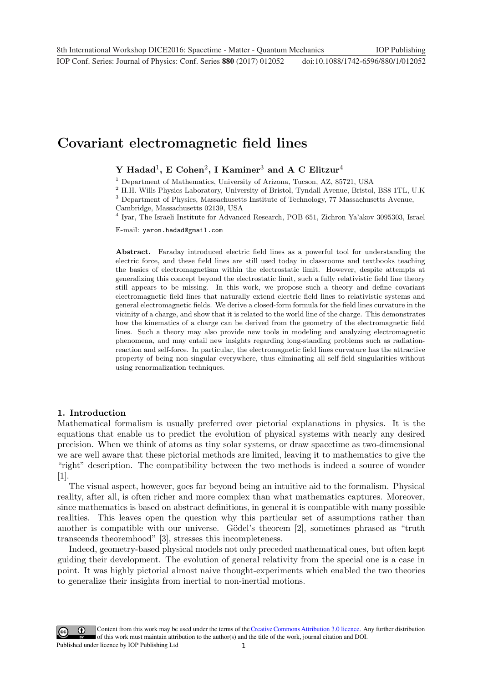# **Covariant electromagnetic field lines**

## **Y Hadad**1**, E Cohen**2**, I Kaminer**<sup>3</sup> **and A C Elitzur**<sup>4</sup>

<sup>1</sup> Department of Mathematics, University of Arizona, Tucson, AZ, 85721, USA

<sup>2</sup> H.H. Wills Physics Laboratory, University of Bristol, Tyndall Avenue, Bristol, BS8 1TL, U.K

<sup>3</sup> Department of Physics, Massachusetts Institute of Technology, 77 Massachusetts Avenue, Cambridge, Massachusetts 02139, USA

<sup>4</sup> Iyar, The Israeli Institute for Advanced Research, POB 651, Zichron Ya'akov 3095303, Israel

E-mail: yaron.hadad@gmail.com

Abstract. Faraday introduced electric field lines as a powerful tool for understanding the electric force, and these field lines are still used today in classrooms and textbooks teaching the basics of electromagnetism within the electrostatic limit. However, despite attempts at generalizing this concept beyond the electrostatic limit, such a fully relativistic field line theory still appears to be missing. In this work, we propose such a theory and define covariant electromagnetic field lines that naturally extend electric field lines to relativistic systems and general electromagnetic fields. We derive a closed-form formula for the field lines curvature in the vicinity of a charge, and show that it is related to the world line of the charge. This demonstrates how the kinematics of a charge can be derived from the geometry of the electromagnetic field lines. Such a theory may also provide new tools in modeling and analyzing electromagnetic phenomena, and may entail new insights regarding long-standing problems such as radiationreaction and self-force. In particular, the electromagnetic field lines curvature has the attractive property of being non-singular everywhere, thus eliminating all self-field singularities without using renormalization techniques.

## **1. Introduction**

Mathematical formalism is usually preferred over pictorial explanations in physics. It is the equations that enable us to predict the evolution of physical systems with nearly any desired precision. When we think of atoms as tiny solar systems, or draw spacetime as two-dimensional we are well aware that these pictorial methods are limited, leaving it to mathematics to give the "right" description. The compatibility between the two methods is indeed a source of wonder [1].

The visual aspect, however, goes far beyond being an intuitive aid to the formalism. Physical reality, after all, is often richer and more complex than what mathematics captures. Moreover, since mathematics is based on abstract definitions, in general it is compatible with many possible realities. This leaves open the question why this particular set of assumptions rather than another is compatible with our universe. Gödel's theorem [2], sometimes phrased as "truth" transcends theoremhood" [3], stresses this incompleteness.

Indeed, geometry-based physical models not only preceded mathematical ones, but often kept guiding their development. The evolution of general relativity from the special one is a case in point. It was highly pictorial almost naive thought-experiments which enabled the two theories to generalize their insights from inertial to non-inertial motions.

Content from this work may be used under the terms of the[Creative Commons Attribution 3.0 licence.](http://creativecommons.org/licenses/by/3.0) Any further distribution  $\omega$ of this work must maintain attribution to the author(s) and the title of the work, journal citation and DOI. Published under licence by IOP Publishing Ltd 1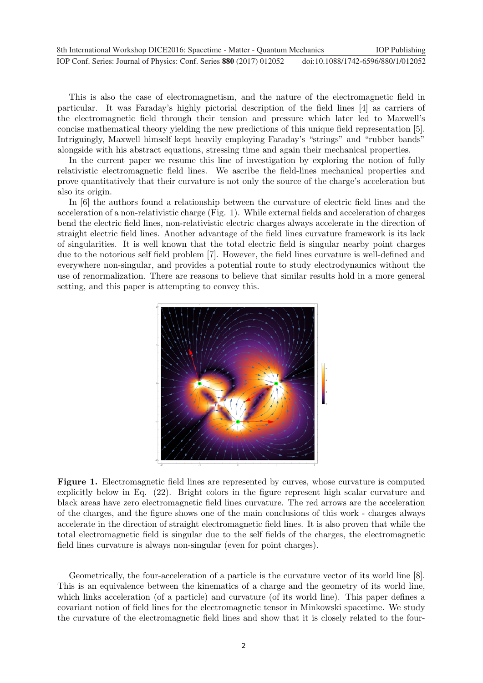| 8th International Workshop DICE2016: Spacetime - Matter - Quantum Mechanics |                                    | <b>IOP</b> Publishing |
|-----------------------------------------------------------------------------|------------------------------------|-----------------------|
| IOP Conf. Series: Journal of Physics: Conf. Series 880 (2017) 012052        | doi:10.1088/1742-6596/880/1/012052 |                       |

This is also the case of electromagnetism, and the nature of the electromagnetic field in particular. It was Faraday's highly pictorial description of the field lines [4] as carriers of the electromagnetic field through their tension and pressure which later led to Maxwell's concise mathematical theory yielding the new predictions of this unique field representation [5]. Intriguingly, Maxwell himself kept heavily employing Faraday's "strings" and "rubber bands" alongside with his abstract equations, stressing time and again their mechanical properties.

In the current paper we resume this line of investigation by exploring the notion of fully relativistic electromagnetic field lines. We ascribe the field-lines mechanical properties and prove quantitatively that their curvature is not only the source of the charge's acceleration but also its origin.

In [6] the authors found a relationship between the curvature of electric field lines and the acceleration of a non-relativistic charge (Fig. 1). While external fields and acceleration of charges bend the electric field lines, non-relativistic electric charges always accelerate in the direction of straight electric field lines. Another advantage of the field lines curvature framework is its lack of singularities. It is well known that the total electric field is singular nearby point charges due to the notorious self field problem [7]. However, the field lines curvature is well-defined and everywhere non-singular, and provides a potential route to study electrodynamics without the use of renormalization. There are reasons to believe that similar results hold in a more general setting, and this paper is attempting to convey this.



**Figure 1.** Electromagnetic field lines are represented by curves, whose curvature is computed explicitly below in Eq. (22). Bright colors in the figure represent high scalar curvature and black areas have zero electromagnetic field lines curvature. The red arrows are the acceleration of the charges, and the figure shows one of the main conclusions of this work - charges always accelerate in the direction of straight electromagnetic field lines. It is also proven that while the total electromagnetic field is singular due to the self fields of the charges, the electromagnetic field lines curvature is always non-singular (even for point charges).

Geometrically, the four-acceleration of a particle is the curvature vector of its world line [8]. This is an equivalence between the kinematics of a charge and the geometry of its world line, which links acceleration (of a particle) and curvature (of its world line). This paper defines a covariant notion of field lines for the electromagnetic tensor in Minkowski spacetime. We study the curvature of the electromagnetic field lines and show that it is closely related to the four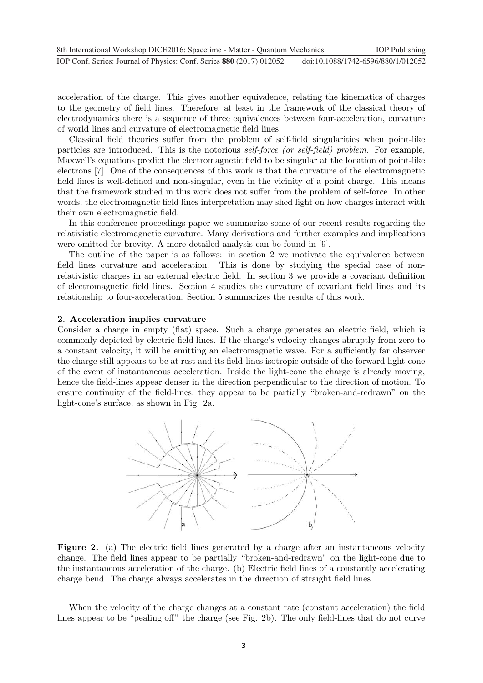acceleration of the charge. This gives another equivalence, relating the kinematics of charges to the geometry of field lines. Therefore, at least in the framework of the classical theory of electrodynamics there is a sequence of three equivalences between four-acceleration, curvature of world lines and curvature of electromagnetic field lines.

Classical field theories suffer from the problem of self-field singularities when point-like particles are introduced. This is the notorious self-force (or self-field) problem. For example, Maxwell's equations predict the electromagnetic field to be singular at the location of point-like electrons [7]. One of the consequences of this work is that the curvature of the electromagnetic field lines is well-defined and non-singular, even in the vicinity of a point charge. This means that the framework studied in this work does not suffer from the problem of self-force. In other words, the electromagnetic field lines interpretation may shed light on how charges interact with their own electromagnetic field.

In this conference proceedings paper we summarize some of our recent results regarding the relativistic electromagnetic curvature. Many derivations and further examples and implications were omitted for brevity. A more detailed analysis can be found in [9].

The outline of the paper is as follows: in section 2 we motivate the equivalence between field lines curvature and acceleration. This is done by studying the special case of nonrelativistic charges in an external electric field. In section 3 we provide a covariant definition of electromagnetic field lines. Section 4 studies the curvature of covariant field lines and its relationship to four-acceleration. Section 5 summarizes the results of this work.

## **2. Acceleration implies curvature**

Consider a charge in empty (flat) space. Such a charge generates an electric field, which is commonly depicted by electric field lines. If the charge's velocity changes abruptly from zero to a constant velocity, it will be emitting an electromagnetic wave. For a sufficiently far observer the charge still appears to be at rest and its field-lines isotropic outside of the forward light-cone of the event of instantaneous acceleration. Inside the light-cone the charge is already moving, hence the field-lines appear denser in the direction perpendicular to the direction of motion. To ensure continuity of the field-lines, they appear to be partially "broken-and-redrawn" on the light-cone's surface, as shown in Fig. 2a.



**Figure 2.** (a) The electric field lines generated by a charge after an instantaneous velocity change. The field lines appear to be partially "broken-and-redrawn" on the light-cone due to the instantaneous acceleration of the charge. (b) Electric field lines of a constantly accelerating charge bend. The charge always accelerates in the direction of straight field lines.

When the velocity of the charge changes at a constant rate (constant acceleration) the field lines appear to be "pealing off" the charge (see Fig. 2b). The only field-lines that do not curve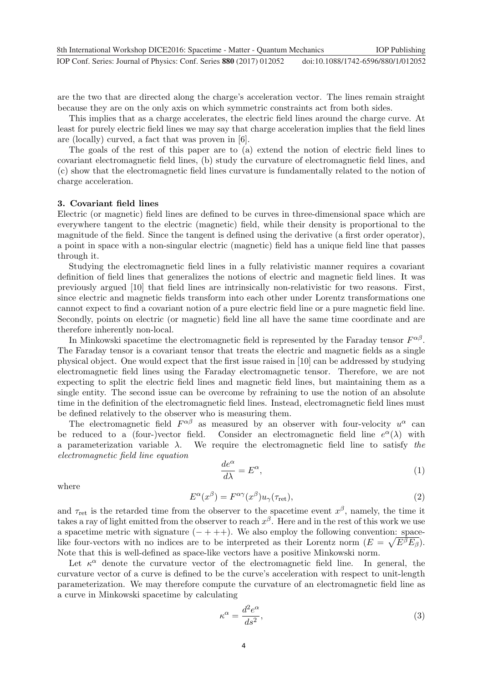are the two that are directed along the charge's acceleration vector. The lines remain straight because they are on the only axis on which symmetric constraints act from both sides.

This implies that as a charge accelerates, the electric field lines around the charge curve. At least for purely electric field lines we may say that charge acceleration implies that the field lines are (locally) curved, a fact that was proven in [6].

The goals of the rest of this paper are to (a) extend the notion of electric field lines to covariant electromagnetic field lines, (b) study the curvature of electromagnetic field lines, and (c) show that the electromagnetic field lines curvature is fundamentally related to the notion of charge acceleration.

#### **3. Covariant field lines**

Electric (or magnetic) field lines are defined to be curves in three-dimensional space which are everywhere tangent to the electric (magnetic) field, while their density is proportional to the magnitude of the field. Since the tangent is defined using the derivative (a first order operator), a point in space with a non-singular electric (magnetic) field has a unique field line that passes through it.

Studying the electromagnetic field lines in a fully relativistic manner requires a covariant definition of field lines that generalizes the notions of electric and magnetic field lines. It was previously argued [10] that field lines are intrinsically non-relativistic for two reasons. First, since electric and magnetic fields transform into each other under Lorentz transformations one cannot expect to find a covariant notion of a pure electric field line or a pure magnetic field line. Secondly, points on electric (or magnetic) field line all have the same time coordinate and are therefore inherently non-local.

In Minkowski spacetime the electromagnetic field is represented by the Faraday tensor  $F^{\alpha\beta}$ . The Faraday tensor is a covariant tensor that treats the electric and magnetic fields as a single physical object. One would expect that the first issue raised in [10] can be addressed by studying electromagnetic field lines using the Faraday electromagnetic tensor. Therefore, we are not expecting to split the electric field lines and magnetic field lines, but maintaining them as a single entity. The second issue can be overcome by refraining to use the notion of an absolute time in the definition of the electromagnetic field lines. Instead, electromagnetic field lines must be defined relatively to the observer who is measuring them.

The electromagnetic field  $F^{\alpha\beta}$  as measured by an observer with four-velocity  $u^{\alpha}$  can be reduced to a (four-)vector field. Consider an electromagnetic field line  $e^{\alpha}(\lambda)$  with a parameterization variable  $\lambda$ . We require the electromagnetic field line to satisfy the electromagnetic field line equation

$$
\frac{de^{\alpha}}{d\lambda} = E^{\alpha},\tag{1}
$$

where

$$
E^{\alpha}(x^{\beta}) = F^{\alpha\gamma}(x^{\beta})u_{\gamma}(\tau_{\text{ret}}), \qquad (2)
$$

and  $\tau_{\text{ret}}$  is the retarded time from the observer to the spacetime event  $x^{\beta}$ , namely, the time it takes a ray of light emitted from the observer to reach  $x^{\beta}$ . Here and in the rest of this work we use a spacetime metric with signature  $(- + + +)$ . We also employ the following convention: spacelike four-vectors with no indices are to be interpreted as their Lorentz norm  $(E = \sqrt{E^{\beta}E_{\beta}})$ . Note that this is well-defined as space-like vectors have a positive Minkowski norm.

Let  $\kappa^{\alpha}$  denote the curvature vector of the electromagnetic field line. In general, the curvature vector of a curve is defined to be the curve's acceleration with respect to unit-length parameterization. We may therefore compute the curvature of an electromagnetic field line as a curve in Minkowski spacetime by calculating

$$
\kappa^{\alpha} = \frac{d^2 e^{\alpha}}{ds^2},\tag{3}
$$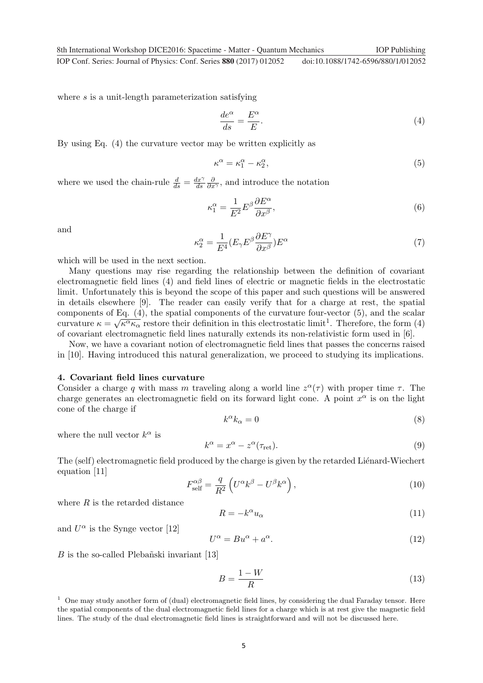**1234567890** IOP Conf. Series: Journal of Physics: Conf. Series **880** (2017) 012052 doi :10.1088/1742-6596/880/1/012052 8th International Workshop DICE2016: Spacetime - Matter - Quantum Mechanics IOP Publishing

where s is a unit-length parameterization satisfying

$$
\frac{de^{\alpha}}{ds} = \frac{E^{\alpha}}{E}.
$$
\n(4)

By using Eq. (4) the curvature vector may be written explicitly as

$$
\kappa^{\alpha} = \kappa_1^{\alpha} - \kappa_2^{\alpha},\tag{5}
$$

where we used the chain-rule  $\frac{d}{ds} = \frac{dx^{\gamma}}{ds}$  $\frac{\partial}{\partial x^{\gamma}}$ , and introduce the notation

$$
\kappa_1^{\alpha} = \frac{1}{E^2} E^{\beta} \frac{\partial E^{\alpha}}{\partial x^{\beta}},\tag{6}
$$

and

$$
\kappa_2^{\alpha} = \frac{1}{E^4} (E_{\gamma} E^{\beta} \frac{\partial E^{\gamma}}{\partial x^{\beta}}) E^{\alpha}
$$
\n(7)

which will be used in the next section.

Many questions may rise regarding the relationship between the definition of covariant electromagnetic field lines (4) and field lines of electric or magnetic fields in the electrostatic limit. Unfortunately this is beyond the scope of this paper and such questions will be answered in details elsewhere [9]. The reader can easily verify that for a charge at rest, the spatial components of Eq. (4), the spatial components of the curvature four-vector (5), and the scalar curvature  $\kappa = \sqrt{\kappa^{\alpha}\kappa_{\alpha}}$  restore their definition in this electrostatic limit<sup>1</sup>. Therefore, the form (4) of covariant electromagnetic field lines naturally extends its non-relativistic form used in [6].

Now, we have a covariant notion of electromagnetic field lines that passes the concerns raised in [10]. Having introduced this natural generalization, we proceed to studying its implications.

#### **4. Covariant field lines curvature**

Consider a charge q with mass m traveling along a world line  $z^{\alpha}(\tau)$  with proper time  $\tau$ . The charge generates an electromagnetic field on its forward light cone. A point  $x^{\alpha}$  is on the light cone of the charge if

$$
k^{\alpha}k_{\alpha} = 0 \tag{8}
$$

where the null vector  $k^{\alpha}$  is

$$
k^{\alpha} = x^{\alpha} - z^{\alpha}(\tau_{\text{ret}}). \tag{9}
$$

The (self) electromagnetic field produced by the charge is given by the retarded Liénard-Wiechert equation [11]

$$
F_{\text{self}}^{\alpha\beta} = \frac{q}{R^2} \left( U^{\alpha} k^{\beta} - U^{\beta} k^{\alpha} \right),\tag{10}
$$

where  $R$  is the retarded distance

$$
R = -k^{\alpha}u_{\alpha} \tag{11}
$$

and  $U^{\alpha}$  is the Synge vector [12]

$$
U^{\alpha} = Bu^{\alpha} + a^{\alpha}.
$$
 (12)

 $B$  is the so-called Plebañski invariant [13]

$$
B = \frac{1 - W}{R} \tag{13}
$$

 $1$  One may study another form of (dual) electromagnetic field lines, by considering the dual Faraday tensor. Here the spatial components of the dual electromagnetic field lines for a charge which is at rest give the magnetic field lines. The study of the dual electromagnetic field lines is straightforward and will not be discussed here.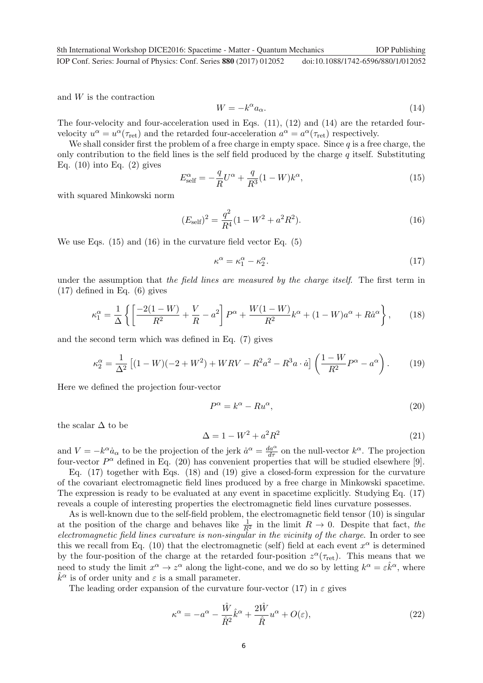and W is the contraction

$$
W = -k^{\alpha} a_{\alpha}.
$$
 (14)

The four-velocity and four-acceleration used in Eqs. (11), (12) and (14) are the retarded fourvelocity  $u^{\alpha} = u^{\alpha}(\tau_{\text{ret}})$  and the retarded four-acceleration  $a^{\alpha} = a^{\alpha}(\tau_{\text{ret}})$  respectively.

We shall consider first the problem of a free charge in empty space. Since  $q$  is a free charge, the only contribution to the field lines is the self field produced by the charge  $q$  itself. Substituting Eq.  $(10)$  into Eq.  $(2)$  gives

$$
E_{\text{self}}^{\alpha} = -\frac{q}{R}U^{\alpha} + \frac{q}{R^3}(1 - W)k^{\alpha},\tag{15}
$$

with squared Minkowski norm

$$
(E_{\text{self}})^2 = \frac{q^2}{R^4} (1 - W^2 + a^2 R^2). \tag{16}
$$

We use Eqs. (15) and (16) in the curvature field vector Eq. (5)

$$
\kappa^{\alpha} = \kappa_1^{\alpha} - \kappa_2^{\alpha}.\tag{17}
$$

under the assumption that the field lines are measured by the charge itself. The first term in (17) defined in Eq. (6) gives

$$
\kappa_1^{\alpha} = \frac{1}{\Delta} \left\{ \left[ \frac{-2(1-W)}{R^2} + \frac{V}{R} - a^2 \right] P^{\alpha} + \frac{W(1-W)}{R^2} k^{\alpha} + (1-W)a^{\alpha} + R\dot{a}^{\alpha} \right\},
$$
 (18)

and the second term which was defined in Eq. (7) gives

$$
\kappa_2^{\alpha} = \frac{1}{\Delta^2} \left[ (1 - W)(-2 + W^2) + WRV - R^2 a^2 - R^3 a \cdot \dot{a} \right] \left( \frac{1 - W}{R^2} P^{\alpha} - a^{\alpha} \right). \tag{19}
$$

Here we defined the projection four-vector

$$
P^{\alpha} = k^{\alpha} - Ru^{\alpha},\tag{20}
$$

the scalar  $\Delta$  to be

$$
\Delta = 1 - W^2 + a^2 R^2 \tag{21}
$$

and  $V = -k^{\alpha} \dot{a}_{\alpha}$  to be the projection of the jerk  $\dot{a}^{\alpha} = \frac{da^{\alpha}}{d\tau}$  on the null-vector  $k^{\alpha}$ . The projection four-vector  $P^{\alpha}$  defined in Eq. (20) has convenient properties that will be studied elsewhere [9].

Eq. (17) together with Eqs. (18) and (19) give a closed-form expression for the curvature of the covariant electromagnetic field lines produced by a free charge in Minkowski spacetime. The expression is ready to be evaluated at any event in spacetime explicitly. Studying Eq. (17) reveals a couple of interesting properties the electromagnetic field lines curvature possesses.

As is well-known due to the self-field problem, the electromagnetic field tensor (10) is singular at the position of the charge and behaves like  $\frac{1}{R^2}$  in the limit  $R \to 0$ . Despite that fact, the electromagnetic field lines curvature is non-singular in the vicinity of the charge. In order to see this we recall from Eq. (10) that the electromagnetic (self) field at each event  $x^{\alpha}$  is determined by the four-position of the charge at the retarded four-position  $z^{\alpha}(\tau_{\text{ret}})$ . This means that we need to study the limit  $x^{\alpha} \to z^{\alpha}$  along the light-cone, and we do so by letting  $k^{\alpha} = \varepsilon \hat{k}^{\alpha}$ , where  $\hat{k}^{\alpha}$  is of order unity and  $\varepsilon$  is a small parameter.  $k^{\alpha}$  is of order unity and  $\varepsilon$  is a small parameter.

The leading order expansion of the curvature four-vector (17) in  $\varepsilon$  gives

$$
\kappa^{\alpha} = -a^{\alpha} - \frac{\hat{W}}{\hat{R}^2} \hat{k}^{\alpha} + \frac{2\hat{W}}{\hat{R}} u^{\alpha} + O(\varepsilon),\tag{22}
$$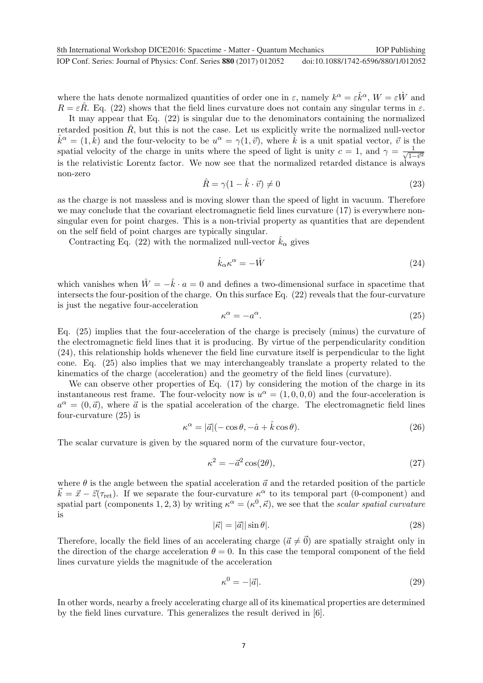where the hats denote normalized quantities of order one in  $\varepsilon$ , namely  $k^{\alpha} = \varepsilon \hat{k}^{\alpha}$ ,  $W = \varepsilon \hat{W}$  and  $R = \varepsilon \hat{R}$ . Eq. (22) shows that the field lines curvature does not contain any singular terms in  $\varepsilon$ .

It may appear that Eq. (22) is singular due to the denominators containing the normalized retarded position  $\hat{R}$ , but this is not the case. Let us explicitly write the normalized null-vector  $\hat{k}^{\alpha} = (1, \hat{k})$  and the four-velocity to be  $u^{\alpha} = \gamma(1, \vec{v})$ , where  $\hat{k}$  is a unit spatial vector,  $\vec{v}$  is the spatial velocity of the charge in units where the speed of light is unity  $c = 1$ , and  $\gamma = \frac{1}{\sqrt{1-\bar{v}^2}}$ is the relativistic Lorentz factor. We now see that the normalized retarded distance is always non-zero

$$
\hat{R} = \gamma (1 - \hat{k} \cdot \vec{v}) \neq 0 \tag{23}
$$

as the charge is not massless and is moving slower than the speed of light in vacuum. Therefore we may conclude that the covariant electromagnetic field lines curvature (17) is everywhere nonsingular even for point charges. This is a non-trivial property as quantities that are dependent on the self field of point charges are typically singular.

Contracting Eq. (22) with the normalized null-vector  $\hat{k}_{\alpha}$  gives

$$
\hat{k}_{\alpha}\kappa^{\alpha} = -\hat{W} \tag{24}
$$

which vanishes when  $\hat{W} = -\hat{k} \cdot a = 0$  and defines a two-dimensional surface in spacetime that intersects the four-position of the charge. On this surface Eq. (22) reveals that the four-curvature is just the negative four-acceleration

$$
\kappa^{\alpha} = -a^{\alpha}.\tag{25}
$$

Eq. (25) implies that the four-acceleration of the charge is precisely (minus) the curvature of the electromagnetic field lines that it is producing. By virtue of the perpendicularity condition (24), this relationship holds whenever the field line curvature itself is perpendicular to the light cone. Eq. (25) also implies that we may interchangeably translate a property related to the kinematics of the charge (acceleration) and the geometry of the field lines (curvature).

We can observe other properties of Eq.  $(17)$  by considering the motion of the charge in its instantaneous rest frame. The four-velocity now is  $u^{\alpha} = (1, 0, 0, 0)$  and the four-acceleration is  $a^{\alpha} = (0, \vec{a})$ , where  $\vec{a}$  is the spatial acceleration of the charge. The electromagnetic field lines four-curvature (25) is

$$
\kappa^{\alpha} = |\vec{a}|(-\cos\theta, -\hat{a} + \hat{k}\cos\theta). \tag{26}
$$

The scalar curvature is given by the squared norm of the curvature four-vector,

$$
\kappa^2 = -\vec{a}^2 \cos(2\theta),\tag{27}
$$

where  $\theta$  is the angle between the spatial acceleration  $\vec{a}$  and the retarded position of the particle  $\vec{k} = \vec{x} - \vec{z}(\tau_{\text{ret}})$ . If we separate the four-curvature  $\kappa^{\alpha}$  to its temporal part (0-component) and spatial part (components 1, 2, 3) by writing  $\kappa^{\alpha} = (\kappa^0, \vec{\kappa})$ , we see that the scalar spatial curvature is

$$
|\vec{\kappa}| = |\vec{a}| |\sin \theta|. \tag{28}
$$

Therefore, locally the field lines of an accelerating charge  $(\vec{a} \neq \vec{0})$  are spatially straight only in the direction of the charge acceleration  $\theta = 0$ . In this case the temporal component of the field lines curvature yields the magnitude of the acceleration

$$
\kappa^0 = -|\vec{a}|.\tag{29}
$$

In other words, nearby a freely accelerating charge all of its kinematical properties are determined by the field lines curvature. This generalizes the result derived in [6].